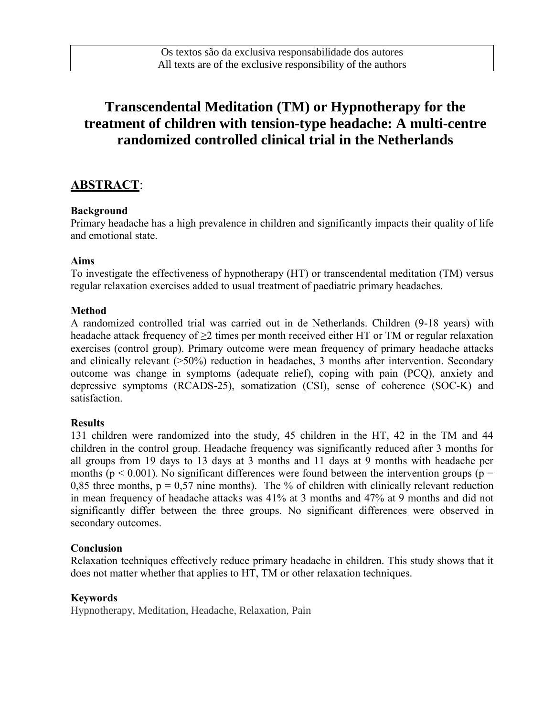# **Transcendental Meditation (TM) or Hypnotherapy for the treatment of children with tension-type headache: A multi-centre randomized controlled clinical trial in the Netherlands**

## ABSTRACT:

#### Background

Primary headache has a high prevalence in children and significantly impacts their quality of life and emotional state.

#### Aims

To investigate the effectiveness of hypnotherapy (HT) or transcendental meditation (TM) versus regular relaxation exercises added to usual treatment of paediatric primary headaches.

#### Method

A randomized controlled trial was carried out in de Netherlands. Children (9-18 years) with headache attack frequency of  $\geq 2$  times per month received either HT or TM or regular relaxation exercises (control group). Primary outcome were mean frequency of primary headache attacks and clinically relevant (>50%) reduction in headaches, 3 months after intervention. Secondary outcome was change in symptoms (adequate relief), coping with pain (PCQ), anxiety and depressive symptoms (RCADS-25), somatization (CSI), sense of coherence (SOC-K) and satisfaction.

#### **Results**

131 children were randomized into the study, 45 children in the HT, 42 in the TM and 44 children in the control group. Headache frequency was significantly reduced after 3 months for all groups from 19 days to 13 days at 3 months and 11 days at 9 months with headache per months ( $p < 0.001$ ). No significant differences were found between the intervention groups ( $p =$ 0,85 three months,  $p = 0.57$  nine months). The % of children with clinically relevant reduction in mean frequency of headache attacks was 41% at 3 months and 47% at 9 months and did not significantly differ between the three groups. No significant differences were observed in secondary outcomes.

#### Conclusion

Relaxation techniques effectively reduce primary headache in children. This study shows that it does not matter whether that applies to HT, TM or other relaxation techniques.

#### Keywords

Hypnotherapy, Meditation, Headache, Relaxation, Pain